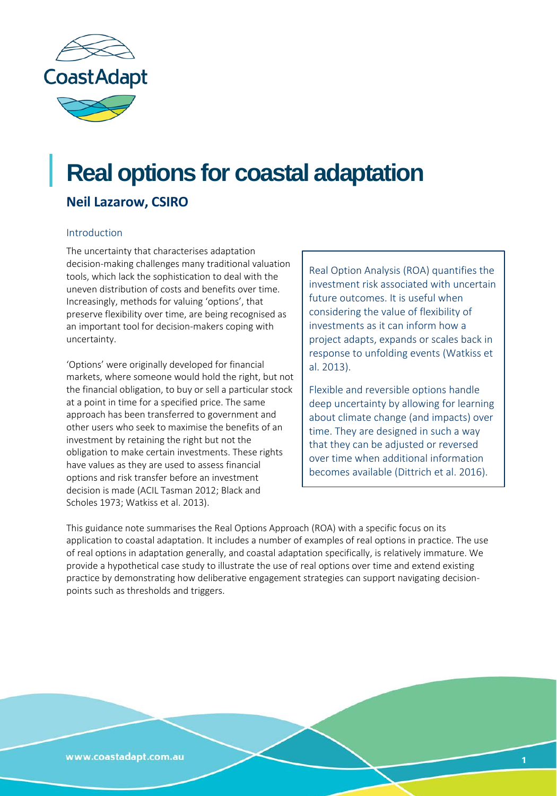

# **Real options for coastal adaptation**

# **Neil Lazarow, CSIRO**

#### Introduction

The uncertainty that characterises adaptation decision-making challenges many traditional valuation tools, which lack the sophistication to deal with the uneven distribution of costs and benefits over time. Increasingly, methods for valuing 'options', that preserve flexibility over time, are being recognised as an important tool for decision-makers coping with uncertainty.

'Options' were originally developed for financial markets, where someone would hold the right, but not the financial obligation, to buy or sell a particular stock at a point in time for a specified price. The same approach has been transferred to government and other users who seek to maximise the benefits of an investment by retaining the right but not the obligation to make certain investments. These rights have values as they are used to assess financial options and risk transfer before an investment decision is made (ACIL Tasman 2012; Black and Scholes 1973; Watkiss et al. 2013).

Real Option Analysis (ROA) quantifies the investment risk associated with uncertain future outcomes. It is useful when considering the value of flexibility of investments as it can inform how a project adapts, expands or scales back in response to unfolding events (Watkiss et al. 2013).

Flexible and reversible options handle deep uncertainty by allowing for learning about climate change (and impacts) over time. They are designed in such a way that they can be adjusted or reversed over time when additional information becomes available (Dittrich et al. 2016).

This guidance note summarises the Real Options Approach (ROA) with a specific focus on its application to coastal adaptation. It includes a number of examples of real options in practice. The use of real options in adaptation generally, and coastal adaptation specifically, is relatively immature. We provide a hypothetical case study to illustrate the use of real options over time and extend existing practice by demonstrating how deliberative engagement strategies can support navigating decisionpoints such as thresholds and triggers.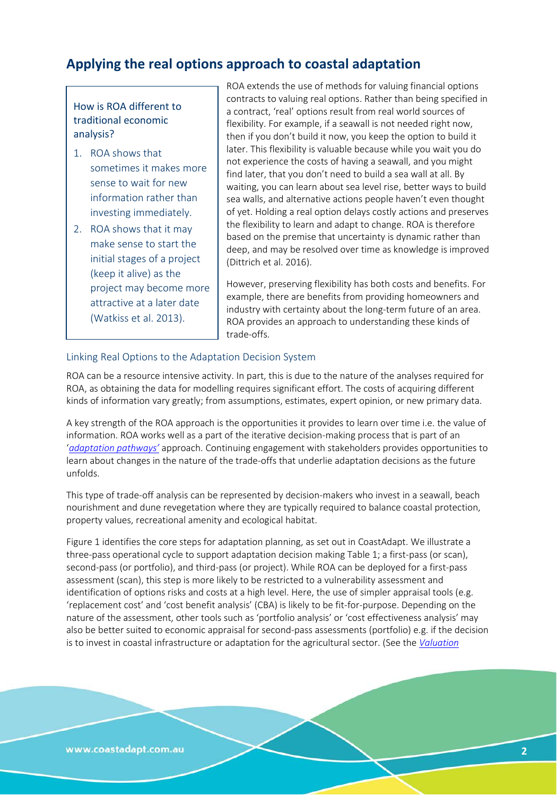# **Applying the real options approach to coastal adaptation**

#### How is ROA different to traditional economic analysis?

- 1. ROA shows that sometimes it makes more sense to wait for new information rather than investing immediately.
- 2. ROA shows that it may make sense to start the initial stages of a project (keep it alive) as the project may become more attractive at a later date (Watkiss et al. 2013).

ROA extends the use of methods for valuing financial options contracts to valuing real options. Rather than being specified in a contract, 'real' options result from real world sources of flexibility. For example, if a seawall is not needed right now, then if you don't build it now, you keep the option to build it later. This flexibility is valuable because while you wait you do not experience the costs of having a seawall, and you might find later, that you don't need to build a sea wall at all. By waiting, you can learn about sea level rise, better ways to build sea walls, and alternative actions people haven't even thought of yet. Holding a real option delays costly actions and preserves the flexibility to learn and adapt to change. ROA is therefore based on the premise that uncertainty is dynamic rather than deep, and may be resolved over time as knowledge is improved (Dittrich et al. 2016).

However, preserving flexibility has both costs and benefits. For example, there are benefits from providing homeowners and industry with certainty about the long-term future of an area. ROA provides an approach to understanding these kinds of trade-offs.

#### Linking Real Options to the Adaptation Decision System

ROA can be a resource intensive activity. In part, this is due to the nature of the analyses required for ROA, as obtaining the data for modelling requires significant effort. The costs of acquiring different kinds of information vary greatly; from assumptions, estimates, expert opinion, or new primary data.

A key strength of the ROA approach is the opportunities it provides to learn over time i.e. the value of information. ROA works well as a part of the iterative decision-making process that is part of an '*[adaptation pathways'](http://coastadapt.com.au/pathways-approach)* approach. Continuing engagement with stakeholders provides opportunities to learn about changes in the nature of the trade-offs that underlie adaptation decisions as the future unfolds.

This type of trade-off analysis can be represented by decision-makers who invest in a seawall, beach nourishment and dune revegetation where they are typically required to balance coastal protection, property values, recreational amenity and ecological habitat.

Figure 1 identifies the core steps for adaptation planning, as set out in CoastAdapt. We illustrate a three-pass operational cycle to support adaptation decision making Table 1; a first-pass (or scan), second-pass (or portfolio), and third-pass (or project). While ROA can be deployed for a first-pass assessment (scan), this step is more likely to be restricted to a vulnerability assessment and identification of options risks and costs at a high level. Here, the use of simpler appraisal tools (e.g. 'replacement cost' and 'cost benefit analysis' (CBA) is likely to be fit-for-purpose. Depending on the nature of the assessment, other tools such as 'portfolio analysis' or 'cost effectiveness analysis' may also be better suited to economic appraisal for second-pass assessments (portfolio) e.g. if the decision is to invest in coastal infrastructure or adaptation for the agricultural sector. (See the *[Valuation](http://coastadapt.com.au/how-to-pages/valuation)*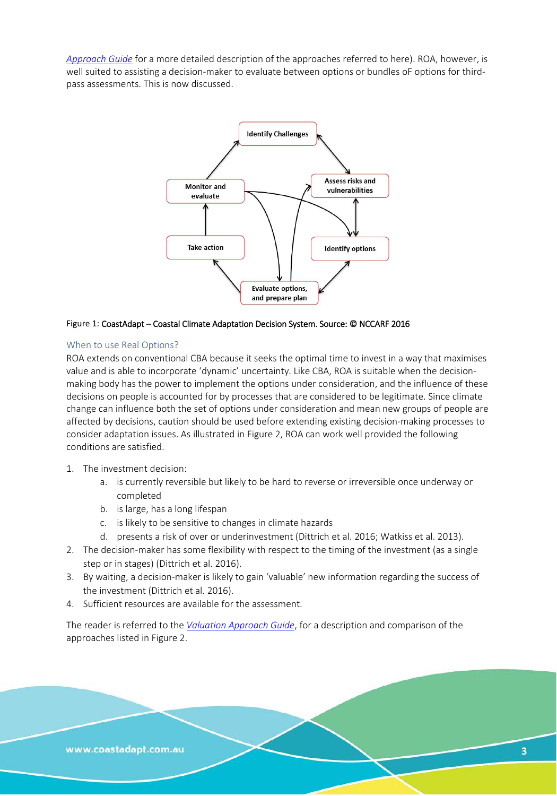*[Approach Guide](http://coastadapt.com.au/how-to-pages/valuation)* for a more detailed description of the approaches referred to here). ROA, however, is well suited to assisting a decision-maker to evaluate between options or bundles oF options for thirdpass assessments. This is now discussed.



#### Figure 1: CoastAdapt – Coastal Climate Adaptation Decision System. Source: © NCCARF 2016

#### When to use Real Options?

ROA extends on conventional CBA because it seeks the optimal time to invest in a way that maximises value and is able to incorporate 'dynamic' uncertainty. Like CBA, ROA is suitable when the decisionmaking body has the power to implement the options under consideration, and the influence of these decisions on people is accounted for by processes that are considered to be legitimate. Since climate change can influence both the set of options under consideration and mean new groups of people are affected by decisions, caution should be used before extending existing decision-making processes to consider adaptation issues. As illustrated in Figure 2, ROA can work well provided the following conditions are satisfied.

- 1. The investment decision:
	- a. is currently reversible but likely to be hard to reverse or irreversible once underway or completed
	- b. is large, has a long lifespan
	- c. is likely to be sensitive to changes in climate hazards
	- d. presents a risk of over or underinvestment (Dittrich et al. 2016; Watkiss et al. 2013).
- 2. The decision-maker has some flexibility with respect to the timing of the investment (as a single step or in stages) (Dittrich et al. 2016).
- 3. By waiting, a decision-maker is likely to gain 'valuable' new information regarding the success of the investment (Dittrich et al. 2016).
- 4. Sufficient resources are available for the assessment.

The reader is referred to the *[Valuation Approach Guide](http://coastadapt.com.au/how-to-pages/valuation)*, for a description and comparison of the approaches listed in Figure 2.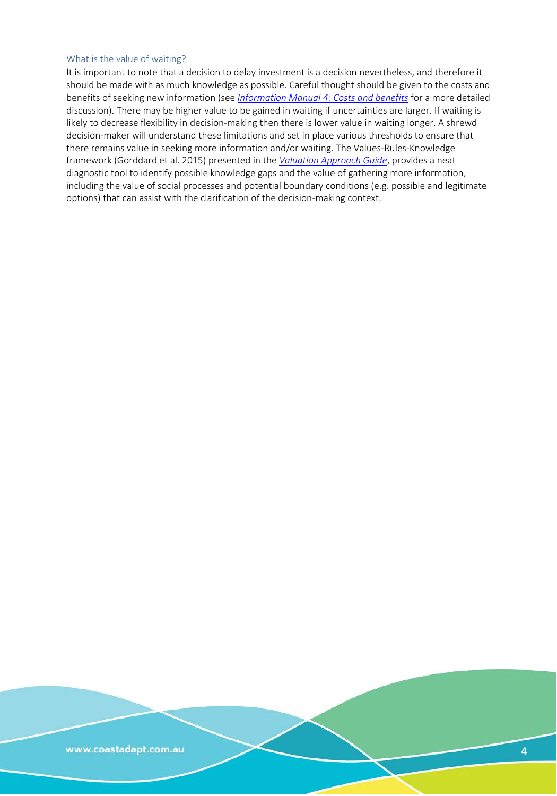#### What is the value of waiting?

It is important to note that a decision to delay investment is a decision nevertheless, and therefore it should be made with as much knowledge as possible. Careful thought should be given to the costs and benefits of seeking new information (see *Information Manual [4: Costs and benefits](http://coastadapt.com.au/information-manuals/assessing-costs-and-benefits-of-coastal-climate-adaptation)* for a more detailed discussion). There may be higher value to be gained in waiting if uncertainties are larger. If waiting is likely to decrease flexibility in decision-making then there is lower value in waiting longer. A shrewd decision-maker will understand these limitations and set in place various thresholds to ensure that there remains value in seeking more information and/or waiting. The Values-Rules-Knowledge framework (Gorddard et al. 2015) presented in the *[Valuation Approach Guide](http://coastadapt.com.au/how-to-pages/valuation)*, provides a neat diagnostic tool to identify possible knowledge gaps and the value of gathering more information, including the value of social processes and potential boundary conditions (e.g. possible and legitimate options) that can assist with the clarification of the decision-making context.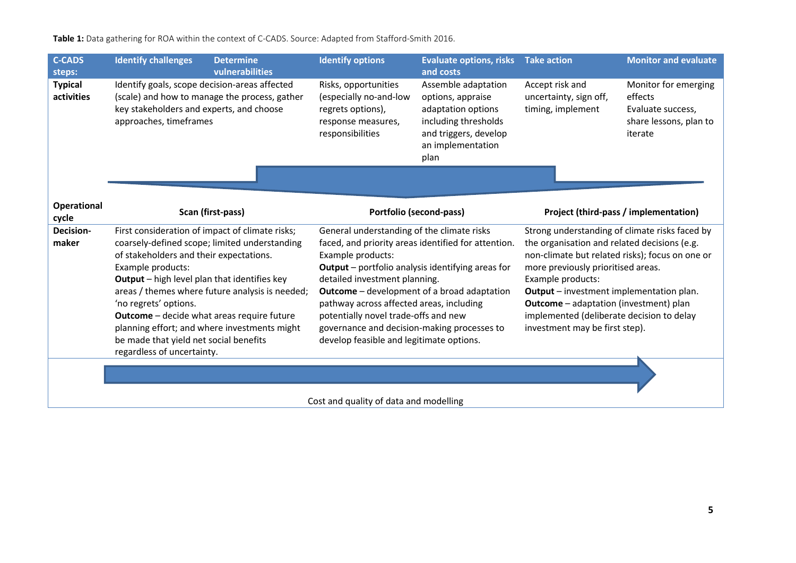**Table 1:** Data gathering for ROA within the context of C-CADS. Source: Adapted from Stafford-Smith 2016.

| <b>C-CADS</b><br>steps:      | <b>Identify challenges</b><br><b>Determine</b><br>vulnerabilities                                                                                                                                                                                                                                                                                                                                                                                                         | <b>Identify options</b>                                                                                                                                                                                                                                                                                                                                                                                                                                  | <b>Evaluate options, risks</b><br>and costs                                                                                                  | <b>Take action</b>                                                                                                                                                                                                                                                                                                                                                                              | <b>Monitor and evaluate</b>                                                               |
|------------------------------|---------------------------------------------------------------------------------------------------------------------------------------------------------------------------------------------------------------------------------------------------------------------------------------------------------------------------------------------------------------------------------------------------------------------------------------------------------------------------|----------------------------------------------------------------------------------------------------------------------------------------------------------------------------------------------------------------------------------------------------------------------------------------------------------------------------------------------------------------------------------------------------------------------------------------------------------|----------------------------------------------------------------------------------------------------------------------------------------------|-------------------------------------------------------------------------------------------------------------------------------------------------------------------------------------------------------------------------------------------------------------------------------------------------------------------------------------------------------------------------------------------------|-------------------------------------------------------------------------------------------|
| <b>Typical</b><br>activities | Identify goals, scope decision-areas affected<br>(scale) and how to manage the process, gather<br>key stakeholders and experts, and choose<br>approaches, timeframes                                                                                                                                                                                                                                                                                                      | Risks, opportunities<br>(especially no-and-low<br>regrets options),<br>response measures,<br>responsibilities                                                                                                                                                                                                                                                                                                                                            | Assemble adaptation<br>options, appraise<br>adaptation options<br>including thresholds<br>and triggers, develop<br>an implementation<br>plan | Accept risk and<br>uncertainty, sign off,<br>timing, implement                                                                                                                                                                                                                                                                                                                                  | Monitor for emerging<br>effects<br>Evaluate success,<br>share lessons, plan to<br>iterate |
|                              |                                                                                                                                                                                                                                                                                                                                                                                                                                                                           |                                                                                                                                                                                                                                                                                                                                                                                                                                                          |                                                                                                                                              |                                                                                                                                                                                                                                                                                                                                                                                                 |                                                                                           |
| <b>Operational</b><br>cycle  | Scan (first-pass)                                                                                                                                                                                                                                                                                                                                                                                                                                                         | Portfolio (second-pass)                                                                                                                                                                                                                                                                                                                                                                                                                                  |                                                                                                                                              | Project (third-pass / implementation)                                                                                                                                                                                                                                                                                                                                                           |                                                                                           |
| Decision-<br>maker           | First consideration of impact of climate risks;<br>coarsely-defined scope; limited understanding<br>of stakeholders and their expectations.<br>Example products:<br>Output - high level plan that identifies key<br>areas / themes where future analysis is needed;<br>'no regrets' options.<br><b>Outcome</b> - decide what areas require future<br>planning effort; and where investments might<br>be made that yield net social benefits<br>regardless of uncertainty. | General understanding of the climate risks<br>faced, and priority areas identified for attention.<br>Example products:<br><b>Output</b> - portfolio analysis identifying areas for<br>detailed investment planning.<br><b>Outcome</b> – development of a broad adaptation<br>pathway across affected areas, including<br>potentially novel trade-offs and new<br>governance and decision-making processes to<br>develop feasible and legitimate options. |                                                                                                                                              | Strong understanding of climate risks faced by<br>the organisation and related decisions (e.g.<br>non-climate but related risks); focus on one or<br>more previously prioritised areas.<br>Example products:<br><b>Output</b> – investment implementation plan.<br><b>Outcome</b> - adaptation (investment) plan<br>implemented (deliberate decision to delay<br>investment may be first step). |                                                                                           |
|                              |                                                                                                                                                                                                                                                                                                                                                                                                                                                                           |                                                                                                                                                                                                                                                                                                                                                                                                                                                          |                                                                                                                                              |                                                                                                                                                                                                                                                                                                                                                                                                 |                                                                                           |

Cost and quality of data and modelling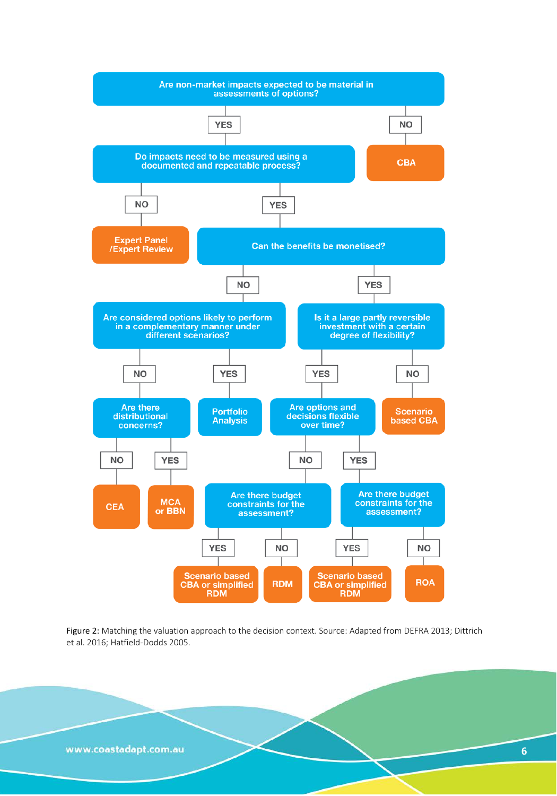

Figure 2: Matching the valuation approach to the decision context. Source: Adapted from DEFRA 2013; Dittrich et al. 2016; Hatfield-Dodds 2005.

www.coastadapt.com.au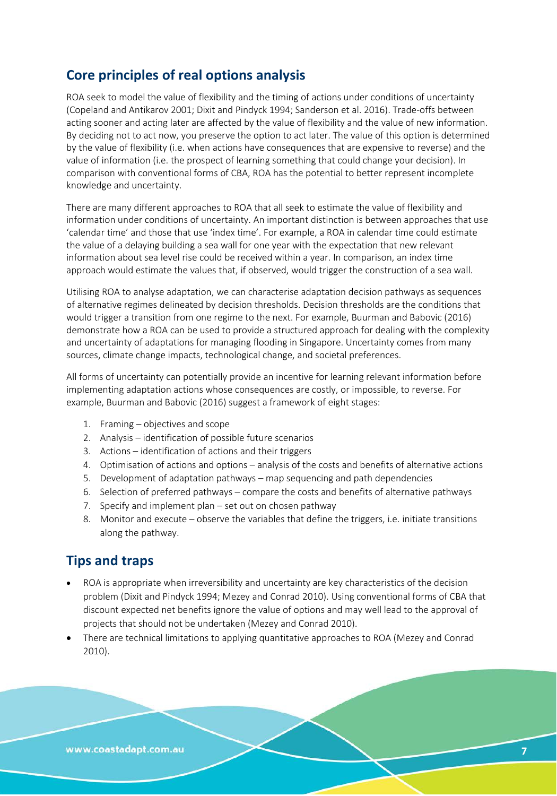# **Core principles of real options analysis**

ROA seek to model the value of flexibility and the timing of actions under conditions of uncertainty (Copeland and Antikarov 2001; Dixit and Pindyck 1994; Sanderson et al. 2016). Trade-offs between acting sooner and acting later are affected by the value of flexibility and the value of new information. By deciding not to act now, you preserve the option to act later. The value of this option is determined by the value of flexibility (i.e. when actions have consequences that are expensive to reverse) and the value of information (i.e. the prospect of learning something that could change your decision). In comparison with conventional forms of CBA, ROA has the potential to better represent incomplete knowledge and uncertainty.

There are many different approaches to ROA that all seek to estimate the value of flexibility and information under conditions of uncertainty. An important distinction is between approaches that use 'calendar time' and those that use 'index time'. For example, a ROA in calendar time could estimate the value of a delaying building a sea wall for one year with the expectation that new relevant information about sea level rise could be received within a year. In comparison, an index time approach would estimate the values that, if observed, would trigger the construction of a sea wall.

Utilising ROA to analyse adaptation, we can characterise adaptation decision pathways as sequences of alternative regimes delineated by decision thresholds. Decision thresholds are the conditions that would trigger a transition from one regime to the next. For example, Buurman and Babovic (2016) demonstrate how a ROA can be used to provide a structured approach for dealing with the complexity and uncertainty of adaptations for managing flooding in Singapore. Uncertainty comes from many sources, climate change impacts, technological change, and societal preferences.

All forms of uncertainty can potentially provide an incentive for learning relevant information before implementing adaptation actions whose consequences are costly, or impossible, to reverse. For example, Buurman and Babovic (2016) suggest a framework of eight stages:

- 1. Framing objectives and scope
- 2. Analysis identification of possible future scenarios
- 3. Actions identification of actions and their triggers
- 4. Optimisation of actions and options analysis of the costs and benefits of alternative actions
- 5. Development of adaptation pathways map sequencing and path dependencies
- 6. Selection of preferred pathways compare the costs and benefits of alternative pathways
- 7. Specify and implement plan set out on chosen pathway
- 8. Monitor and execute observe the variables that define the triggers, i.e. initiate transitions along the pathway.

## **Tips and traps**

- ROA is appropriate when irreversibility and uncertainty are key characteristics of the decision problem (Dixit and Pindyck 1994; Mezey and Conrad 2010). Using conventional forms of CBA that discount expected net benefits ignore the value of options and may well lead to the approval of projects that should not be undertaken (Mezey and Conrad 2010).
- There are technical limitations to applying quantitative approaches to ROA (Mezey and Conrad 2010).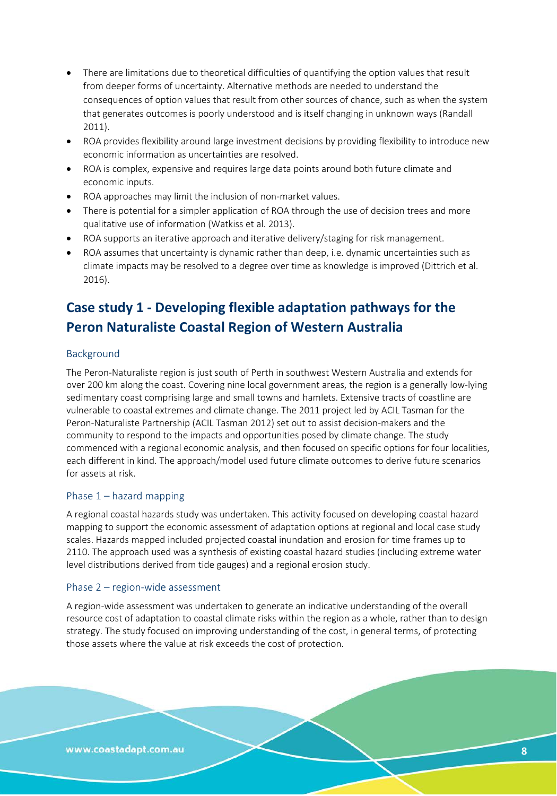- There are limitations due to theoretical difficulties of quantifying the option values that result from deeper forms of uncertainty. Alternative methods are needed to understand the consequences of option values that result from other sources of chance, such as when the system that generates outcomes is poorly understood and is itself changing in unknown ways (Randall 2011).
- ROA provides flexibility around large investment decisions by providing flexibility to introduce new economic information as uncertainties are resolved.
- ROA is complex, expensive and requires large data points around both future climate and economic inputs.
- ROA approaches may limit the inclusion of non-market values.
- There is potential for a simpler application of ROA through the use of decision trees and more qualitative use of information (Watkiss et al. 2013).
- ROA supports an iterative approach and iterative delivery/staging for risk management.
- ROA assumes that uncertainty is dynamic rather than deep, i.e. dynamic uncertainties such as climate impacts may be resolved to a degree over time as knowledge is improved (Dittrich et al. 2016).

# **Case study 1 - Developing flexible adaptation pathways for the Peron Naturaliste Coastal Region of Western Australia**

#### Background

The Peron-Naturaliste region is just south of Perth in southwest Western Australia and extends for over 200 km along the coast. Covering nine local government areas, the region is a generally low-lying sedimentary coast comprising large and small towns and hamlets. Extensive tracts of coastline are vulnerable to coastal extremes and climate change. The 2011 project led by ACIL Tasman for the Peron-Naturaliste Partnership (ACIL Tasman 2012) set out to assist decision-makers and the community to respond to the impacts and opportunities posed by climate change. The study commenced with a regional economic analysis, and then focused on specific options for four localities, each different in kind. The approach/model used future climate outcomes to derive future scenarios for assets at risk.

#### Phase 1 – hazard mapping

A regional coastal hazards study was undertaken. This activity focused on developing coastal hazard mapping to support the economic assessment of adaptation options at regional and local case study scales. Hazards mapped included projected coastal inundation and erosion for time frames up to 2110. The approach used was a synthesis of existing coastal hazard studies (including extreme water level distributions derived from tide gauges) and a regional erosion study.

#### Phase 2 – region-wide assessment

A region-wide assessment was undertaken to generate an indicative understanding of the overall resource cost of adaptation to coastal climate risks within the region as a whole, rather than to design strategy. The study focused on improving understanding of the cost, in general terms, of protecting those assets where the value at risk exceeds the cost of protection.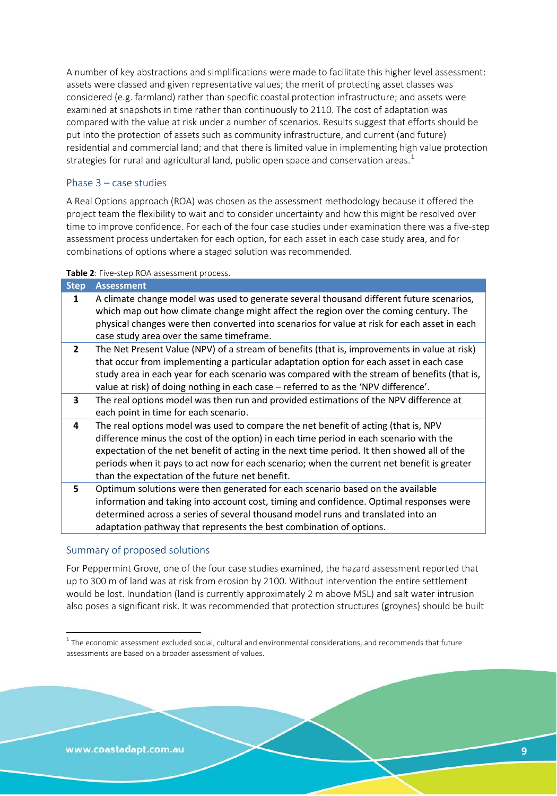A number of key abstractions and simplifications were made to facilitate this higher level assessment: assets were classed and given representative values; the merit of protecting asset classes was considered (e.g. farmland) rather than specific coastal protection infrastructure; and assets were examined at snapshots in time rather than continuously to 2110. The cost of adaptation was compared with the value at risk under a number of scenarios. Results suggest that efforts should be put into the protection of assets such as community infrastructure, and current (and future) residential and commercial land; and that there is limited value in implementing high value protection strategies for rural and agricultural land, public open space and conservation areas.<sup>[1](#page-8-0)</sup>

#### Phase 3 – case studies

A Real Options approach (ROA) was chosen as the assessment methodology because it offered the project team the flexibility to wait and to consider uncertainty and how this might be resolved over time to improve confidence. For each of the four case studies under examination there was a five-step assessment process undertaken for each option, for each asset in each case study area, and for combinations of options where a staged solution was recommended.

#### **Table 2**: Five-step ROA assessment process.

| <b>Step</b>  | <b>Assessment</b>                                                                                                                                                                                                                                                                                                                                                                                                            |
|--------------|------------------------------------------------------------------------------------------------------------------------------------------------------------------------------------------------------------------------------------------------------------------------------------------------------------------------------------------------------------------------------------------------------------------------------|
| 1            | A climate change model was used to generate several thousand different future scenarios,<br>which map out how climate change might affect the region over the coming century. The<br>physical changes were then converted into scenarios for value at risk for each asset in each<br>case study area over the same timeframe.                                                                                                |
| $\mathbf{2}$ | The Net Present Value (NPV) of a stream of benefits (that is, improvements in value at risk)<br>that occur from implementing a particular adaptation option for each asset in each case<br>study area in each year for each scenario was compared with the stream of benefits (that is,<br>value at risk) of doing nothing in each case - referred to as the 'NPV difference'.                                               |
| 3            | The real options model was then run and provided estimations of the NPV difference at<br>each point in time for each scenario.                                                                                                                                                                                                                                                                                               |
| 4            | The real options model was used to compare the net benefit of acting (that is, NPV<br>difference minus the cost of the option) in each time period in each scenario with the<br>expectation of the net benefit of acting in the next time period. It then showed all of the<br>periods when it pays to act now for each scenario; when the current net benefit is greater<br>than the expectation of the future net benefit. |
| 5.           | Optimum solutions were then generated for each scenario based on the available<br>information and taking into account cost, timing and confidence. Optimal responses were<br>determined across a series of several thousand model runs and translated into an                                                                                                                                                                |

Summary of proposed solutions

For Peppermint Grove, one of the four case studies examined, the hazard assessment reported that up to 300 m of land was at risk from erosion by 2100. Without intervention the entire settlement would be lost. Inundation (land is currently approximately 2 m above MSL) and salt water intrusion also poses a significant risk. It was recommended that protection structures (groynes) should be built

adaptation pathway that represents the best combination of options.

<span id="page-8-0"></span> $1$  The economic assessment excluded social, cultural and environmental considerations, and recommends that future assessments are based on a broader assessment of values.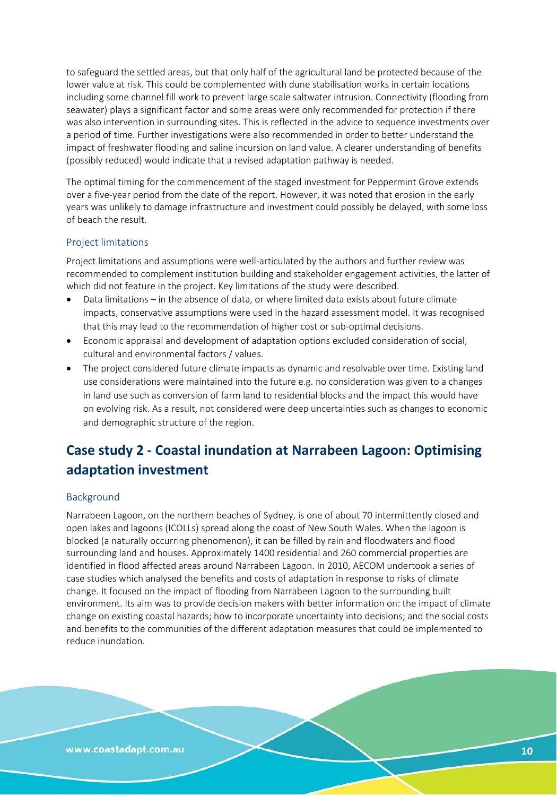to safeguard the settled areas, but that only half of the agricultural land be protected because of the lower value at risk. This could be complemented with dune stabilisation works in certain locations including some channel fill work to prevent large scale saltwater intrusion. Connectivity (flooding from seawater) plays a significant factor and some areas were only recommended for protection if there was also intervention in surrounding sites. This is reflected in the advice to sequence investments over a period of time. Further investigations were also recommended in order to better understand the impact of freshwater flooding and saline incursion on land value. A clearer understanding of benefits (possibly reduced) would indicate that a revised adaptation pathway is needed.

The optimal timing for the commencement of the staged investment for Peppermint Grove extends over a five-year period from the date of the report. However, it was noted that erosion in the early years was unlikely to damage infrastructure and investment could possibly be delayed, with some loss of beach the result.

#### Project limitations

Project limitations and assumptions were well-articulated by the authors and further review was recommended to complement institution building and stakeholder engagement activities, the latter of which did not feature in the project. Key limitations of the study were described.

- Data limitations in the absence of data, or where limited data exists about future climate impacts, conservative assumptions were used in the hazard assessment model. It was recognised that this may lead to the recommendation of higher cost or sub-optimal decisions.
- Economic appraisal and development of adaptation options excluded consideration of social, cultural and environmental factors / values.
- The project considered future climate impacts as dynamic and resolvable over time. Existing land use considerations were maintained into the future e.g. no consideration was given to a changes in land use such as conversion of farm land to residential blocks and the impact this would have on evolving risk. As a result, not considered were deep uncertainties such as changes to economic and demographic structure of the region.

# **Case study 2 - Coastal inundation at Narrabeen Lagoon: Optimising adaptation investment**

#### Background

Narrabeen Lagoon, on the northern beaches of Sydney, is one of about 70 intermittently closed and open lakes and lagoons (ICOLLs) spread along the coast of New South Wales. When the lagoon is blocked (a naturally occurring phenomenon), it can be filled by rain and floodwaters and flood surrounding land and houses. Approximately 1400 residential and 260 commercial properties are identified in flood affected areas around Narrabeen Lagoon. In 2010, AECOM undertook a series of case studies which analysed the benefits and costs of adaptation in response to risks of climate change. It focused on the impact of flooding from Narrabeen Lagoon to the surrounding built environment. Its aim was to provide decision makers with better information on: the impact of climate change on existing coastal hazards; how to incorporate uncertainty into decisions; and the social costs and benefits to the communities of the different adaptation measures that could be implemented to reduce inundation.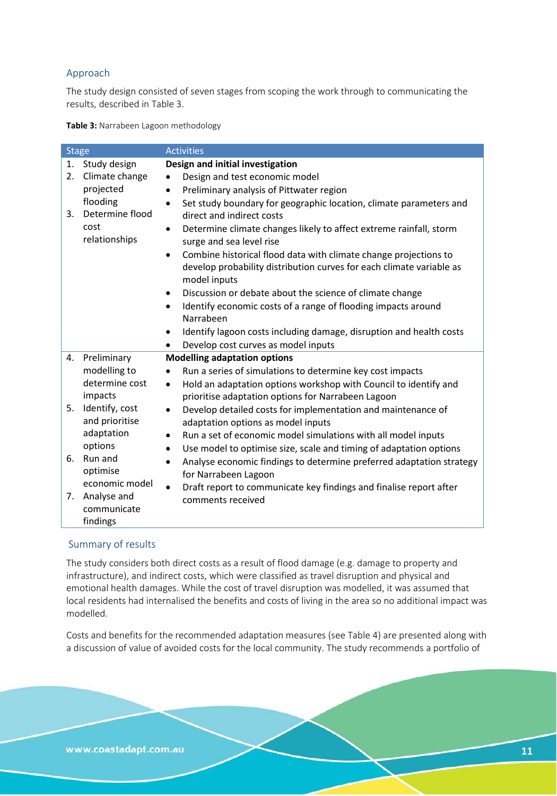### Approach

The study design consisted of seven stages from scoping the work through to communicating the results, described in Table 3.

**Table 3:** Narrabeen Lagoon methodology

| <b>Stage</b> |                                  | <b>Activities</b>                                                                                                                                                     |  |  |  |
|--------------|----------------------------------|-----------------------------------------------------------------------------------------------------------------------------------------------------------------------|--|--|--|
| 1.           | Study design                     | Design and initial investigation                                                                                                                                      |  |  |  |
| 2.           | Climate change                   | Design and test economic model                                                                                                                                        |  |  |  |
|              | projected                        | Preliminary analysis of Pittwater region<br>$\bullet$                                                                                                                 |  |  |  |
| 3.           | flooding<br>Determine flood      | Set study boundary for geographic location, climate parameters and<br>$\bullet$<br>direct and indirect costs                                                          |  |  |  |
|              | cost<br>relationships            | Determine climate changes likely to affect extreme rainfall, storm<br>٠<br>surge and sea level rise                                                                   |  |  |  |
|              |                                  | Combine historical flood data with climate change projections to<br>$\bullet$<br>develop probability distribution curves for each climate variable as<br>model inputs |  |  |  |
|              |                                  | Discussion or debate about the science of climate change<br>$\bullet$                                                                                                 |  |  |  |
|              |                                  | Identify economic costs of a range of flooding impacts around<br>$\bullet$                                                                                            |  |  |  |
|              |                                  | Narrabeen                                                                                                                                                             |  |  |  |
|              |                                  | Identify lagoon costs including damage, disruption and health costs<br>٠                                                                                              |  |  |  |
|              |                                  | Develop cost curves as model inputs<br>$\bullet$                                                                                                                      |  |  |  |
| 4.           | Preliminary                      | <b>Modelling adaptation options</b>                                                                                                                                   |  |  |  |
|              | modelling to                     | Run a series of simulations to determine key cost impacts<br>$\bullet$                                                                                                |  |  |  |
|              | determine cost<br>impacts        | Hold an adaptation options workshop with Council to identify and<br>$\bullet$<br>prioritise adaptation options for Narrabeen Lagoon                                   |  |  |  |
| 5.           | Identify, cost<br>and prioritise | Develop detailed costs for implementation and maintenance of<br>$\bullet$<br>adaptation options as model inputs                                                       |  |  |  |
|              | adaptation                       | Run a set of economic model simulations with all model inputs<br>$\bullet$                                                                                            |  |  |  |
|              | options                          | Use model to optimise size, scale and timing of adaptation options<br>٠                                                                                               |  |  |  |
| 6.           | Run and<br>optimise              | Analyse economic findings to determine preferred adaptation strategy<br>$\bullet$<br>for Narrabeen Lagoon                                                             |  |  |  |
|              | economic model                   | Draft report to communicate key findings and finalise report after                                                                                                    |  |  |  |
| 7.           | Analyse and<br>communicate       | comments received                                                                                                                                                     |  |  |  |
|              | findings                         |                                                                                                                                                                       |  |  |  |

#### Summary of results

The study considers both direct costs as a result of flood damage (e.g. damage to property and infrastructure), and indirect costs, which were classified as travel disruption and physical and emotional health damages. While the cost of travel disruption was modelled, it was assumed that local residents had internalised the benefits and costs of living in the area so no additional impact was modelled.

Costs and benefits for the recommended adaptation measures (see Table 4) are presented along with a discussion of value of avoided costs for the local community. The study recommends a portfolio of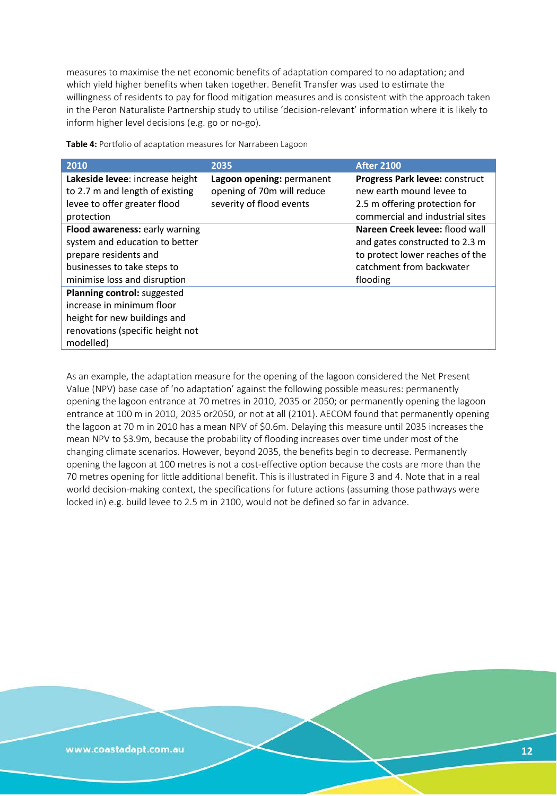measures to maximise the net economic benefits of adaptation compared to no adaptation; and which yield higher benefits when taken together. Benefit Transfer was used to estimate the willingness of residents to pay for flood mitigation measures and is consistent with the approach taken in the Peron Naturaliste Partnership study to utilise 'decision-relevant' information where it is likely to inform higher level decisions (e.g. go or no-go).

| 2010                                                                                                                                                     | 2035                                                                                | <b>After 2100</b>                                                                                                                           |
|----------------------------------------------------------------------------------------------------------------------------------------------------------|-------------------------------------------------------------------------------------|---------------------------------------------------------------------------------------------------------------------------------------------|
| Lakeside levee: increase height<br>to 2.7 m and length of existing<br>levee to offer greater flood<br>protection                                         | Lagoon opening: permanent<br>opening of 70m will reduce<br>severity of flood events | Progress Park levee: construct<br>new earth mound levee to<br>2.5 m offering protection for<br>commercial and industrial sites              |
| Flood awareness: early warning<br>system and education to better<br>prepare residents and<br>businesses to take steps to<br>minimise loss and disruption |                                                                                     | Nareen Creek levee: flood wall<br>and gates constructed to 2.3 m<br>to protect lower reaches of the<br>catchment from backwater<br>flooding |
| Planning control: suggested<br>increase in minimum floor<br>height for new buildings and<br>renovations (specific height not<br>modelled)                |                                                                                     |                                                                                                                                             |

**Table 4:** Portfolio of adaptation measures for Narrabeen Lagoon

As an example, the adaptation measure for the opening of the lagoon considered the Net Present Value (NPV) base case of 'no adaptation' against the following possible measures: permanently opening the lagoon entrance at 70 metres in 2010, 2035 or 2050; or permanently opening the lagoon entrance at 100 m in 2010, 2035 or2050, or not at all (2101). AECOM found that permanently opening the lagoon at 70 m in 2010 has a mean NPV of \$0.6m. Delaying this measure until 2035 increases the mean NPV to \$3.9m, because the probability of flooding increases over time under most of the changing climate scenarios. However, beyond 2035, the benefits begin to decrease. Permanently opening the lagoon at 100 metres is not a cost-effective option because the costs are more than the 70 metres opening for little additional benefit. This is illustrated in Figure 3 and 4. Note that in a real world decision-making context, the specifications for future actions (assuming those pathways were locked in) e.g. build levee to 2.5 m in 2100, would not be defined so far in advance.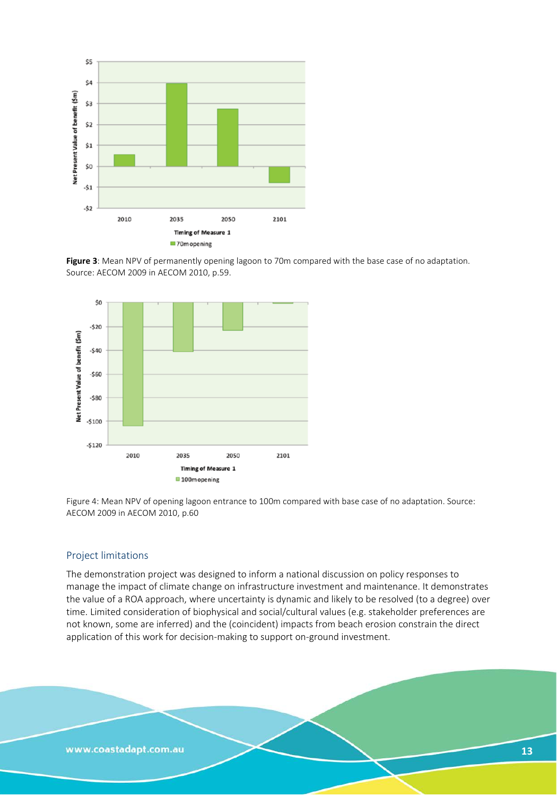





Figure 4: Mean NPV of opening lagoon entrance to 100m compared with base case of no adaptation. Source: AECOM 2009 in AECOM 2010, p.60

#### Project limitations

The demonstration project was designed to inform a national discussion on policy responses to manage the impact of climate change on infrastructure investment and maintenance. It demonstrates the value of a ROA approach, where uncertainty is dynamic and likely to be resolved (to a degree) over time. Limited consideration of biophysical and social/cultural values (e.g. stakeholder preferences are not known, some are inferred) and the (coincident) impacts from beach erosion constrain the direct application of this work for decision-making to support on-ground investment.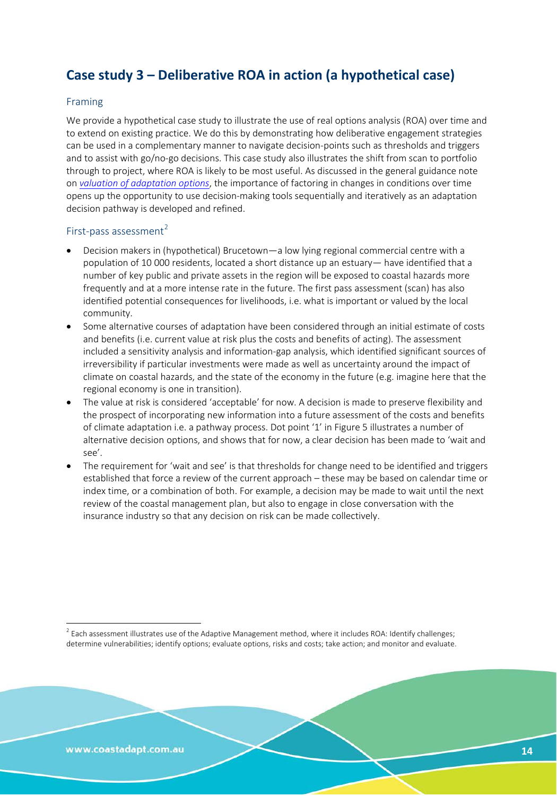# **Case study 3 – Deliberative ROA in action (a hypothetical case)**

#### Framing

We provide a hypothetical case study to illustrate the use of real options analysis (ROA) over time and to extend on existing practice. We do this by demonstrating how deliberative engagement strategies can be used in a complementary manner to navigate decision-points such as thresholds and triggers and to assist with go/no-go decisions. This case study also illustrates the shift from scan to portfolio through to project, where ROA is likely to be most useful. As discussed in the general guidance note on *[valuation of adaptation options](http://coastadapt.com.au/how-to-pages/valuation)*, the importance of factoring in changes in conditions over time opens up the opportunity to use decision-making tools sequentially and iteratively as an adaptation decision pathway is developed and refined.

#### First-pass assessment $2$

- Decision makers in (hypothetical) Brucetown—a low lying regional commercial centre with a population of 10 000 residents, located a short distance up an estuary— have identified that a number of key public and private assets in the region will be exposed to coastal hazards more frequently and at a more intense rate in the future. The first pass assessment (scan) has also identified potential consequences for livelihoods, i.e. what is important or valued by the local community.
- Some alternative courses of adaptation have been considered through an initial estimate of costs and benefits (i.e. current value at risk plus the costs and benefits of acting). The assessment included a sensitivity analysis and information-gap analysis, which identified significant sources of irreversibility if particular investments were made as well as uncertainty around the impact of climate on coastal hazards, and the state of the economy in the future (e.g. imagine here that the regional economy is one in transition).
- The value at risk is considered 'acceptable' for now. A decision is made to preserve flexibility and the prospect of incorporating new information into a future assessment of the costs and benefits of climate adaptation i.e. a pathway process. Dot point '1' in Figure 5 illustrates a number of alternative decision options, and shows that for now, a clear decision has been made to 'wait and see'.
- The requirement for 'wait and see' is that thresholds for change need to be identified and triggers established that force a review of the current approach – these may be based on calendar time or index time, or a combination of both. For example, a decision may be made to wait until the next review of the coastal management plan, but also to engage in close conversation with the insurance industry so that any decision on risk can be made collectively.

<span id="page-13-0"></span> $2$  Each assessment illustrates use of the Adaptive Management method, where it includes ROA: Identify challenges; determine vulnerabilities; identify options; evaluate options, risks and costs; take action; and monitor and evaluate.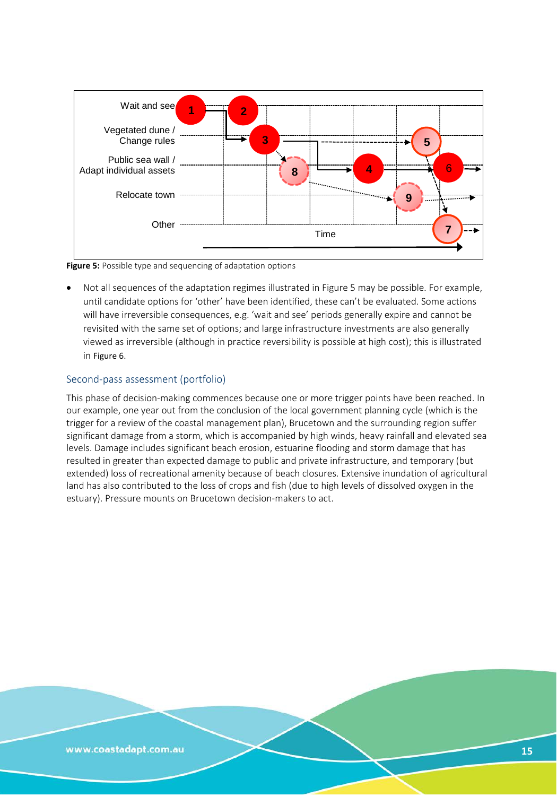

<span id="page-14-0"></span>**Figure 5:** Possible type and sequencing of adaptation options

• Not all sequences of the adaptation regimes illustrated in Figure 5 may be possible. For example, until candidate options for 'other' have been identified, these can't be evaluated. Some actions will have irreversible consequences, e.g. 'wait and see' periods generally expire and cannot be revisited with the same set of options; and large infrastructure investments are also generally viewed as irreversible (although in practice reversibility is possible at high cost); this is illustrated in [Figure 6](#page-15-0).

#### Second-pass assessment (portfolio)

This phase of decision-making commences because one or more trigger points have been reached. In our example, one year out from the conclusion of the local government planning cycle (which is the trigger for a review of the coastal management plan), Brucetown and the surrounding region suffer significant damage from a storm, which is accompanied by high winds, heavy rainfall and elevated sea levels. Damage includes significant beach erosion, estuarine flooding and storm damage that has resulted in greater than expected damage to public and private infrastructure, and temporary (but extended) loss of recreational amenity because of beach closures. Extensive inundation of agricultural land has also contributed to the loss of crops and fish (due to high levels of dissolved oxygen in the estuary). Pressure mounts on Brucetown decision-makers to act.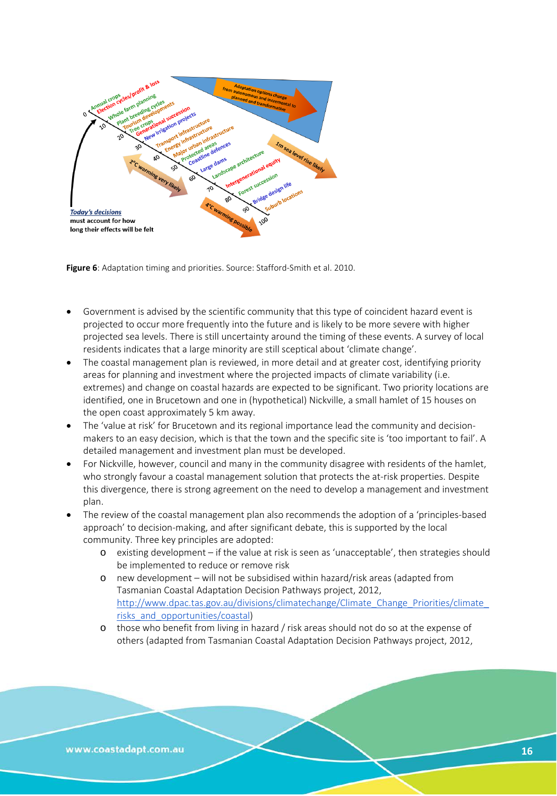<span id="page-15-0"></span>

**Figure 6**: Adaptation timing and priorities. Source: Stafford-Smith et al. 2010.

- Government is advised by the scientific community that this type of coincident hazard event is projected to occur more frequently into the future and is likely to be more severe with higher projected sea levels. There is still uncertainty around the timing of these events. A survey of local residents indicates that a large minority are still sceptical about 'climate change'.
- The coastal management plan is reviewed, in more detail and at greater cost, identifying priority areas for planning and investment where the projected impacts of climate variability (i.e. extremes) and change on coastal hazards are expected to be significant. Two priority locations are identified, one in Brucetown and one in (hypothetical) Nickville, a small hamlet of 15 houses on the open coast approximately 5 km away.
- The 'value at risk' for Brucetown and its regional importance lead the community and decisionmakers to an easy decision, which is that the town and the specific site is 'too important to fail'. A detailed management and investment plan must be developed.
- For Nickville, however, council and many in the community disagree with residents of the hamlet, who strongly favour a coastal management solution that protects the at-risk properties. Despite this divergence, there is strong agreement on the need to develop a management and investment plan.
- The review of the coastal management plan also recommends the adoption of a 'principles-based approach' to decision-making, and after significant debate, this is supported by the local community. Three key principles are adopted:
	- o existing development if the value at risk is seen as 'unacceptable', then strategies should be implemented to reduce or remove risk
	- o new development will not be subsidised within hazard/risk areas (adapted from Tasmanian Coastal Adaptation Decision Pathways project, 2012, http://www.dpac.tas.gov.au/divisions/climatechange/Climate Change Priorities/climate risks and opportunities/coastal)
	- o those who benefit from living in hazard / risk areas should not do so at the expense of others (adapted from Tasmanian Coastal Adaptation Decision Pathways project, 2012,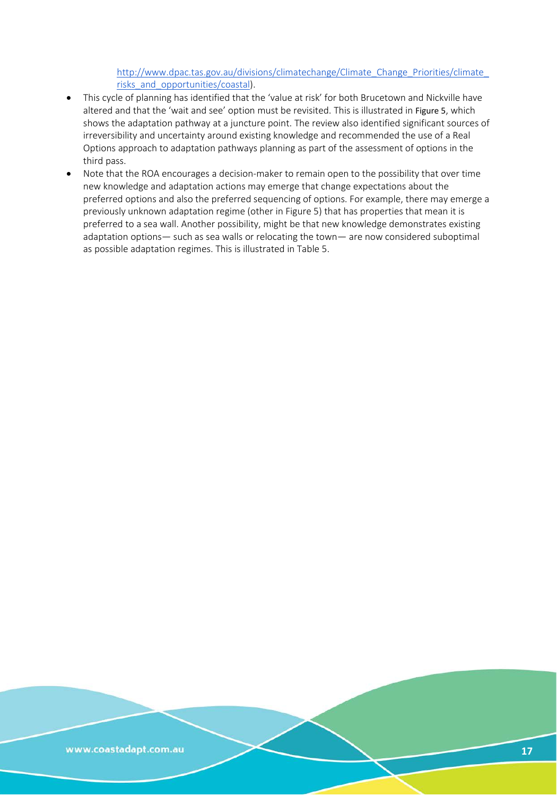[http://www.dpac.tas.gov.au/divisions/climatechange/Climate\\_Change\\_Priorities/climate\\_](http://www.dpac.tas.gov.au/divisions/climatechange/Climate_Change_Priorities/climate_risks_and_opportunities/coastal) risks and opportunities/coastal).

- This cycle of planning has identified that the 'value at risk' for both Brucetown and Nickville have altered and that the 'wait and see' option must be revisited. This is illustrated in [Figure 5](#page-14-0), which shows the adaptation pathway at a juncture point. The review also identified significant sources of irreversibility and uncertainty around existing knowledge and recommended the use of a Real Options approach to adaptation pathways planning as part of the assessment of options in the third pass.
- Note that the ROA encourages a decision-maker to remain open to the possibility that over time new knowledge and adaptation actions may emerge that change expectations about the preferred options and also the preferred sequencing of options. For example, there may emerge a previously unknown adaptation regime (other in Figure 5) that has properties that mean it is preferred to a sea wall. Another possibility, might be that new knowledge demonstrates existing adaptation options— such as sea walls or relocating the town— are now considered suboptimal as possible adaptation regimes. This is illustrated in Table 5.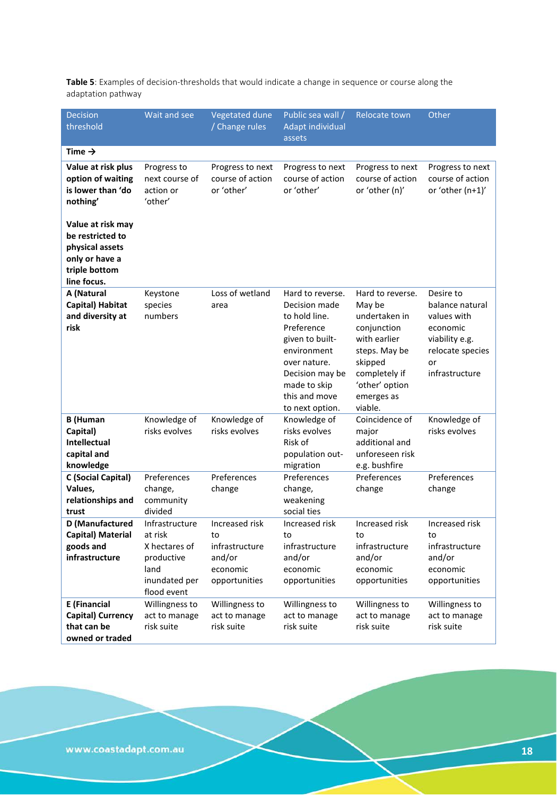<span id="page-17-0"></span>**Table 5**: Examples of decision-thresholds that would indicate a change in sequence or course along the adaptation pathway

| <b>Decision</b><br>threshold                                                                               | Wait and see                                                                                     | Vegetated dune<br>/ Change rules                                              | Public sea wall /<br>Adapt individual<br>assets                                                                                                                                           | Relocate town                                                                                                                                                      | Other                                                                                                                 |
|------------------------------------------------------------------------------------------------------------|--------------------------------------------------------------------------------------------------|-------------------------------------------------------------------------------|-------------------------------------------------------------------------------------------------------------------------------------------------------------------------------------------|--------------------------------------------------------------------------------------------------------------------------------------------------------------------|-----------------------------------------------------------------------------------------------------------------------|
| Time $\rightarrow$                                                                                         |                                                                                                  |                                                                               |                                                                                                                                                                                           |                                                                                                                                                                    |                                                                                                                       |
| Value at risk plus<br>option of waiting<br>is lower than 'do<br>nothing'                                   | Progress to<br>next course of<br>action or<br>'other'                                            | Progress to next<br>course of action<br>or 'other'                            | Progress to next<br>course of action<br>or 'other'                                                                                                                                        | Progress to next<br>course of action<br>or 'other (n)'                                                                                                             | Progress to next<br>course of action<br>or 'other (n+1)'                                                              |
| Value at risk may<br>be restricted to<br>physical assets<br>only or have a<br>triple bottom<br>line focus. |                                                                                                  |                                                                               |                                                                                                                                                                                           |                                                                                                                                                                    |                                                                                                                       |
| A (Natural<br>Capital) Habitat<br>and diversity at<br>risk                                                 | Keystone<br>species<br>numbers                                                                   | Loss of wetland<br>area                                                       | Hard to reverse.<br>Decision made<br>to hold line.<br>Preference<br>given to built-<br>environment<br>over nature.<br>Decision may be<br>made to skip<br>this and move<br>to next option. | Hard to reverse.<br>May be<br>undertaken in<br>conjunction<br>with earlier<br>steps. May be<br>skipped<br>completely if<br>'other' option<br>emerges as<br>viable. | Desire to<br>balance natural<br>values with<br>economic<br>viability e.g.<br>relocate species<br>or<br>infrastructure |
| <b>B</b> (Human<br>Capital)<br><b>Intellectual</b><br>capital and<br>knowledge                             | Knowledge of<br>risks evolves                                                                    | Knowledge of<br>risks evolves                                                 | Knowledge of<br>risks evolves<br>Risk of<br>population out-<br>migration                                                                                                                  | Coincidence of<br>major<br>additional and<br>unforeseen risk<br>e.g. bushfire                                                                                      | Knowledge of<br>risks evolves                                                                                         |
| <b>C</b> (Social Capital)<br>Values,<br>relationships and<br>trust                                         | Preferences<br>change,<br>community<br>divided                                                   | Preferences<br>change                                                         | Preferences<br>change,<br>weakening<br>social ties                                                                                                                                        | Preferences<br>change                                                                                                                                              | Preferences<br>change                                                                                                 |
| D (Manufactured<br>Capital) Material<br>goods and<br>infrastructure                                        | Infrastructure<br>at risk<br>X hectares of<br>productive<br>land<br>inundated per<br>flood event | Increased risk<br>to<br>infrastructure<br>and/or<br>economic<br>opportunities | Increased risk<br>to<br>infrastructure<br>and/or<br>economic<br>opportunities                                                                                                             | Increased risk<br>to<br>infrastructure<br>and/or<br>economic<br>opportunities                                                                                      | Increased risk<br>to<br>infrastructure<br>and/or<br>economic<br>opportunities                                         |
| <b>E</b> (Financial<br>Capital) Currency<br>that can be<br>owned or traded                                 | Willingness to<br>act to manage<br>risk suite                                                    | Willingness to<br>act to manage<br>risk suite                                 | Willingness to<br>act to manage<br>risk suite                                                                                                                                             | Willingness to<br>act to manage<br>risk suite                                                                                                                      | Willingness to<br>act to manage<br>risk suite                                                                         |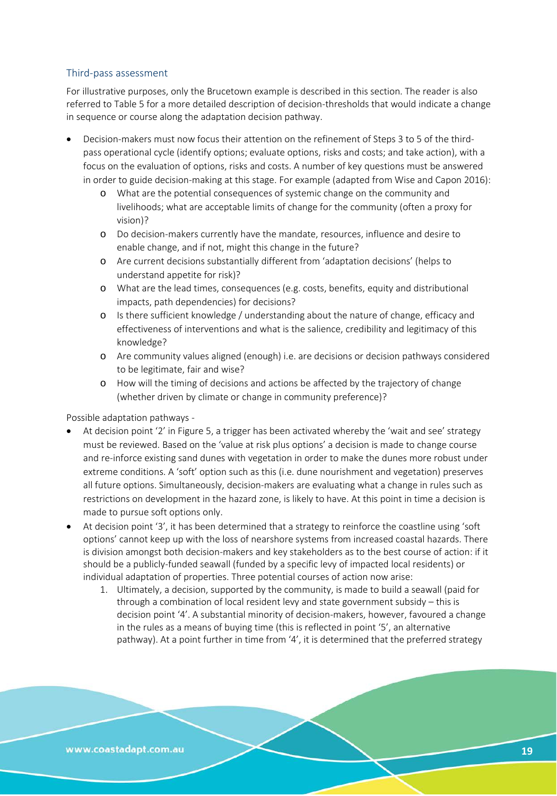#### Third-pass assessment

For illustrative purposes, only the Brucetown example is described in this section. The reader is also referred to [Table 5](#page-17-0) for a more detailed description of decision-thresholds that would indicate a change in sequence or course along the adaptation decision pathway.

- Decision-makers must now focus their attention on the refinement of Steps 3 to 5 of the thirdpass operational cycle (identify options; evaluate options, risks and costs; and take action), with a focus on the evaluation of options, risks and costs. A number of key questions must be answered in order to guide decision-making at this stage. For example (adapted from Wise and Capon 2016):
	- o What are the potential consequences of systemic change on the community and livelihoods; what are acceptable limits of change for the community (often a proxy for vision)?
	- o Do decision-makers currently have the mandate, resources, influence and desire to enable change, and if not, might this change in the future?
	- o Are current decisions substantially different from 'adaptation decisions' (helps to understand appetite for risk)?
	- o What are the lead times, consequences (e.g. costs, benefits, equity and distributional impacts, path dependencies) for decisions?
	- o Is there sufficient knowledge / understanding about the nature of change, efficacy and effectiveness of interventions and what is the salience, credibility and legitimacy of this knowledge?
	- o Are community values aligned (enough) i.e. are decisions or decision pathways considered to be legitimate, fair and wise?
	- o How will the timing of decisions and actions be affected by the trajectory of change (whether driven by climate or change in community preference)?

Possible adaptation pathways -

- At decision point '2' in Figure 5, a trigger has been activated whereby the 'wait and see' strategy must be reviewed. Based on the 'value at risk plus options' a decision is made to change course and re-inforce existing sand dunes with vegetation in order to make the dunes more robust under extreme conditions. A 'soft' option such as this (i.e. dune nourishment and vegetation) preserves all future options. Simultaneously, decision-makers are evaluating what a change in rules such as restrictions on development in the hazard zone, is likely to have. At this point in time a decision is made to pursue soft options only.
- At decision point '3', it has been determined that a strategy to reinforce the coastline using 'soft options' cannot keep up with the loss of nearshore systems from increased coastal hazards. There is division amongst both decision-makers and key stakeholders as to the best course of action: if it should be a publicly-funded seawall (funded by a specific levy of impacted local residents) or individual adaptation of properties. Three potential courses of action now arise:
	- 1. Ultimately, a decision, supported by the community, is made to build a seawall (paid for through a combination of local resident levy and state government subsidy – this is decision point '4'. A substantial minority of decision-makers, however, favoured a change in the rules as a means of buying time (this is reflected in point '5', an alternative pathway). At a point further in time from '4', it is determined that the preferred strategy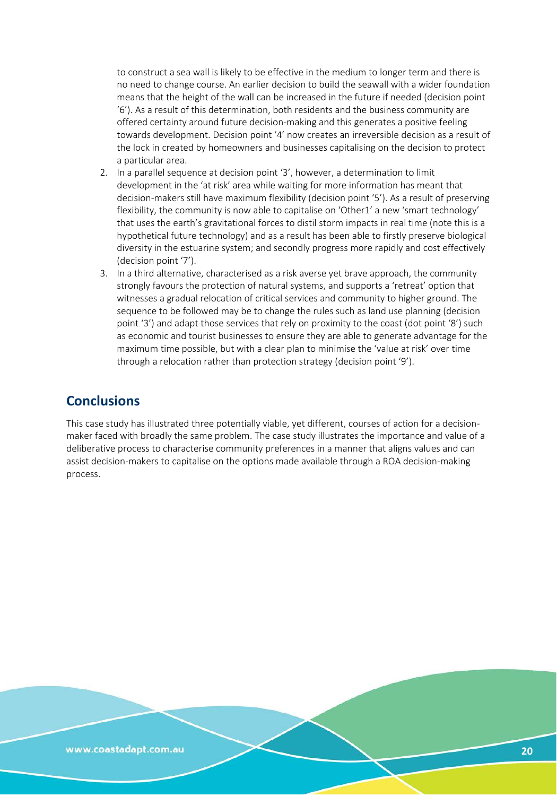to construct a sea wall is likely to be effective in the medium to longer term and there is no need to change course. An earlier decision to build the seawall with a wider foundation means that the height of the wall can be increased in the future if needed (decision point '6'). As a result of this determination, both residents and the business community are offered certainty around future decision-making and this generates a positive feeling towards development. Decision point '4' now creates an irreversible decision as a result of the lock in created by homeowners and businesses capitalising on the decision to protect a particular area.

- 2. In a parallel sequence at decision point '3', however, a determination to limit development in the 'at risk' area while waiting for more information has meant that decision-makers still have maximum flexibility (decision point '5'). As a result of preserving flexibility, the community is now able to capitalise on 'Other1' a new 'smart technology' that uses the earth's gravitational forces to distil storm impacts in real time (note this is a hypothetical future technology) and as a result has been able to firstly preserve biological diversity in the estuarine system; and secondly progress more rapidly and cost effectively (decision point '7').
- 3. In a third alternative, characterised as a risk averse yet brave approach, the community strongly favours the protection of natural systems, and supports a 'retreat' option that witnesses a gradual relocation of critical services and community to higher ground. The sequence to be followed may be to change the rules such as land use planning (decision point '3') and adapt those services that rely on proximity to the coast (dot point '8') such as economic and tourist businesses to ensure they are able to generate advantage for the maximum time possible, but with a clear plan to minimise the 'value at risk' over time through a relocation rather than protection strategy (decision point '9').

# **Conclusions**

This case study has illustrated three potentially viable, yet different, courses of action for a decisionmaker faced with broadly the same problem. The case study illustrates the importance and value of a deliberative process to characterise community preferences in a manner that aligns values and can assist decision-makers to capitalise on the options made available through a ROA decision-making process.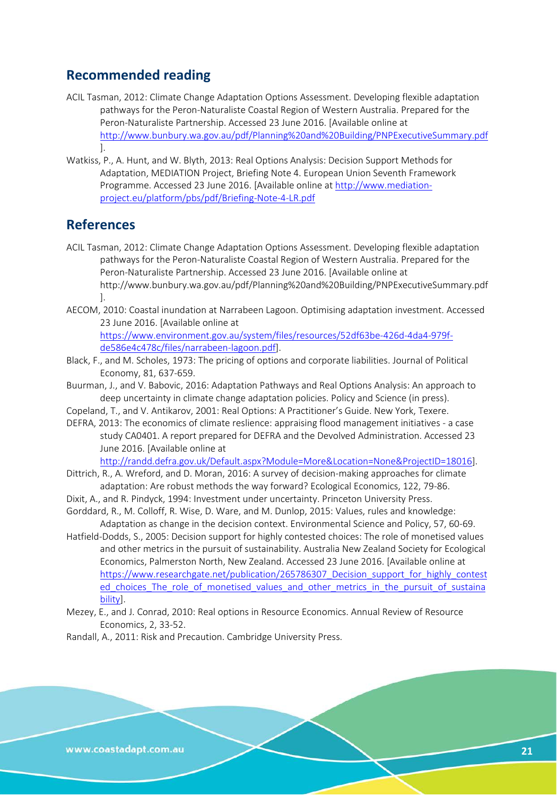# **Recommended reading**

- ACIL Tasman, 2012: Climate Change Adaptation Options Assessment. Developing flexible adaptation pathways for the Peron-Naturaliste Coastal Region of Western Australia. Prepared for the Peron-Naturaliste Partnership. Accessed 23 June 2016. [Available online at <http://www.bunbury.wa.gov.au/pdf/Planning%20and%20Building/PNPExecutiveSummary.pdf> ].
- Watkiss, P., A. Hunt, and W. Blyth, 2013: Real Options Analysis: Decision Support Methods for Adaptation, MEDIATION Project, Briefing Note 4. European Union Seventh Framework Programme. Accessed 23 June 2016. [Available online at [http://www.mediation](http://www.mediation-project.eu/platform/pbs/pdf/Briefing-Note-4-LR.pdf)[project.eu/platform/pbs/pdf/Briefing-Note-4-LR.pdf](http://www.mediation-project.eu/platform/pbs/pdf/Briefing-Note-4-LR.pdf)

# **References**

- ACIL Tasman, 2012: Climate Change Adaptation Options Assessment. Developing flexible adaptation pathways for the Peron-Naturaliste Coastal Region of Western Australia. Prepared for the Peron-Naturaliste Partnership. Accessed 23 June 2016. [Available online at http://www.bunbury.wa.gov.au/pdf/Planning%20and%20Building/PNPExecutiveSummary.pdf ].
- AECOM, 2010: Coastal inundation at Narrabeen Lagoon. Optimising adaptation investment. Accessed 23 June 2016. [Available online at

[https://www.environment.gov.au/system/files/resources/52df63be-426d-4da4-979f](https://www.environment.gov.au/system/files/resources/52df63be-426d-4da4-979f-de586e4c478c/files/narrabeen-lagoon.pdf)[de586e4c478c/files/narrabeen-lagoon.pdf\]](https://www.environment.gov.au/system/files/resources/52df63be-426d-4da4-979f-de586e4c478c/files/narrabeen-lagoon.pdf).

- Black, F., and M. Scholes, 1973: The pricing of options and corporate liabilities. Journal of Political Economy, 81, 637-659.
- Buurman, J., and V. Babovic, 2016: Adaptation Pathways and Real Options Analysis: An approach to deep uncertainty in climate change adaptation policies. Policy and Science (in press).
- Copeland, T., and V. Antikarov, 2001: Real Options: A Practitioner's Guide. New York, Texere.
- DEFRA, 2013: The economics of climate reslience: appraising flood management initiatives a case study CA0401. A report prepared for DEFRA and the Devolved Administration. Accessed 23 June 2016. [Available online at

[http://randd.defra.gov.uk/Default.aspx?Module=More&Location=None&ProjectID=18016\]](http://randd.defra.gov.uk/Default.aspx?Module=More&Location=None&ProjectID=18016).

- Dittrich, R., A. Wreford, and D. Moran, 2016: A survey of decision-making approaches for climate adaptation: Are robust methods the way forward? Ecological Economics, 122, 79-86.
- Dixit, A., and R. Pindyck, 1994: Investment under uncertainty. Princeton University Press.
- Gorddard, R., M. Colloff, R. Wise, D. Ware, and M. Dunlop, 2015: Values, rules and knowledge: Adaptation as change in the decision context. Environmental Science and Policy, 57, 60-69.
- Hatfield-Dodds, S., 2005: Decision support for highly contested choices: The role of monetised values and other metrics in the pursuit of sustainability. Australia New Zealand Society for Ecological Economics, Palmerston North, New Zealand. Accessed 23 June 2016. [Available online at https://www.researchgate.net/publication/265786307 Decision support for highly contest ed choices The role of monetised values and other metrics in the pursuit of sustaina [bility\]](https://www.researchgate.net/publication/265786307_Decision_support_for_highly_contested_choices_The_role_of_monetised_values_and_other_metrics_in_the_pursuit_of_sustainability).
- Mezey, E., and J. Conrad, 2010: Real options in Resource Economics. Annual Review of Resource Economics, 2, 33-52.

Randall, A., 2011: Risk and Precaution. Cambridge University Press.